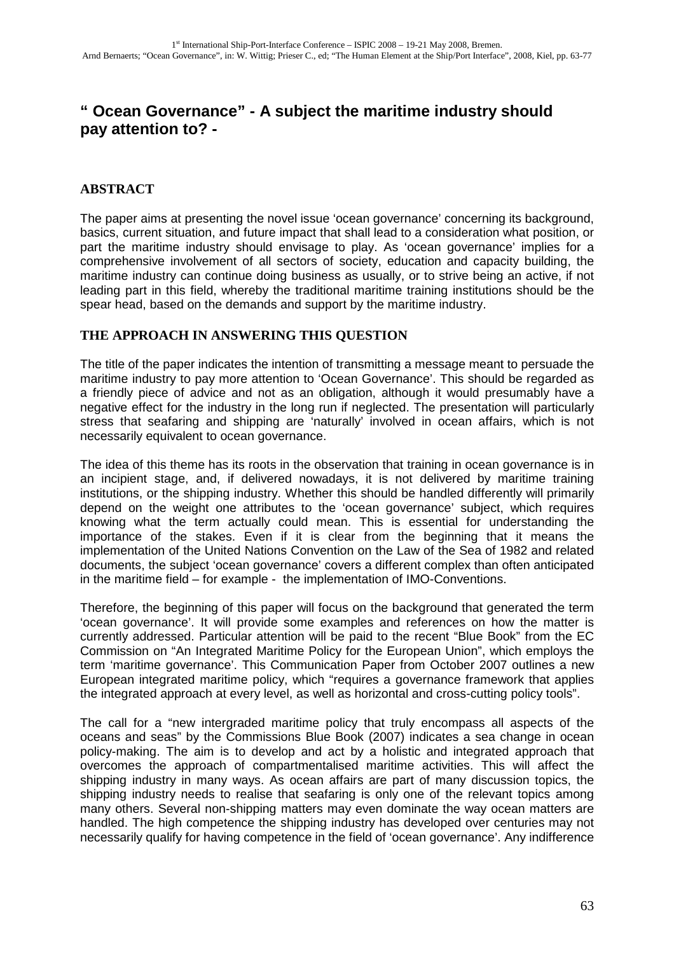# **" Ocean Governance" - A subject the maritime industry should pay attention to? -**

# **ABSTRACT**

The paper aims at presenting the novel issue 'ocean governance' concerning its background, basics, current situation, and future impact that shall lead to a consideration what position, or part the maritime industry should envisage to play. As 'ocean governance' implies for a comprehensive involvement of all sectors of society, education and capacity building, the maritime industry can continue doing business as usually, or to strive being an active, if not leading part in this field, whereby the traditional maritime training institutions should be the spear head, based on the demands and support by the maritime industry.

### **THE APPROACH IN ANSWERING THIS QUESTION**

The title of the paper indicates the intention of transmitting a message meant to persuade the maritime industry to pay more attention to 'Ocean Governance'. This should be regarded as a friendly piece of advice and not as an obligation, although it would presumably have a negative effect for the industry in the long run if neglected. The presentation will particularly stress that seafaring and shipping are 'naturally' involved in ocean affairs, which is not necessarily equivalent to ocean governance.

The idea of this theme has its roots in the observation that training in ocean governance is in an incipient stage, and, if delivered nowadays, it is not delivered by maritime training institutions, or the shipping industry. Whether this should be handled differently will primarily depend on the weight one attributes to the 'ocean governance' subject, which requires knowing what the term actually could mean. This is essential for understanding the importance of the stakes. Even if it is clear from the beginning that it means the implementation of the United Nations Convention on the Law of the Sea of 1982 and related documents, the subject 'ocean governance' covers a different complex than often anticipated in the maritime field – for example - the implementation of IMO-Conventions.

Therefore, the beginning of this paper will focus on the background that generated the term 'ocean governance'. It will provide some examples and references on how the matter is currently addressed. Particular attention will be paid to the recent "Blue Book" from the EC Commission on "An Integrated Maritime Policy for the European Union", which employs the term 'maritime governance'. This Communication Paper from October 2007 outlines a new European integrated maritime policy, which "requires a governance framework that applies the integrated approach at every level, as well as horizontal and cross-cutting policy tools".

The call for a "new intergraded maritime policy that truly encompass all aspects of the oceans and seas" by the Commissions Blue Book (2007) indicates a sea change in ocean policy-making. The aim is to develop and act by a holistic and integrated approach that overcomes the approach of compartmentalised maritime activities. This will affect the shipping industry in many ways. As ocean affairs are part of many discussion topics, the shipping industry needs to realise that seafaring is only one of the relevant topics among many others. Several non-shipping matters may even dominate the way ocean matters are handled. The high competence the shipping industry has developed over centuries may not necessarily qualify for having competence in the field of 'ocean governance'. Any indifference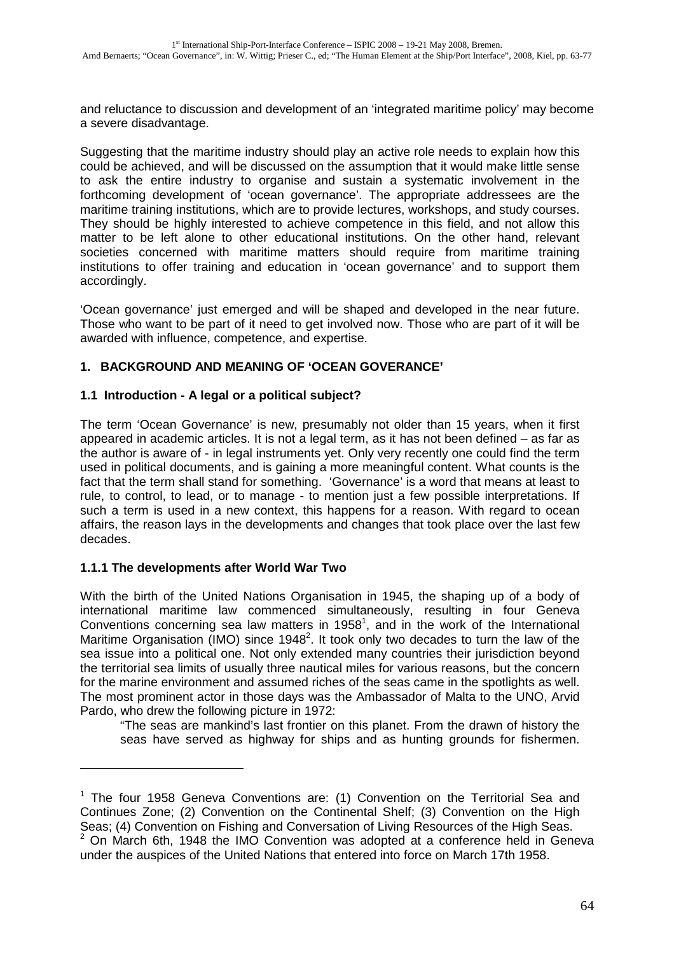and reluctance to discussion and development of an 'integrated maritime policy' may become a severe disadvantage.

Suggesting that the maritime industry should play an active role needs to explain how this could be achieved, and will be discussed on the assumption that it would make little sense to ask the entire industry to organise and sustain a systematic involvement in the forthcoming development of 'ocean governance'. The appropriate addressees are the maritime training institutions, which are to provide lectures, workshops, and study courses. They should be highly interested to achieve competence in this field, and not allow this matter to be left alone to other educational institutions. On the other hand, relevant societies concerned with maritime matters should require from maritime training institutions to offer training and education in 'ocean governance' and to support them accordingly.

'Ocean governance' just emerged and will be shaped and developed in the near future. Those who want to be part of it need to get involved now. Those who are part of it will be awarded with influence, competence, and expertise.

# **1. BACKGROUND AND MEANING OF 'OCEAN GOVERANCE'**

### **1.1 Introduction - A legal or a political subject?**

The term 'Ocean Governance' is new, presumably not older than 15 years, when it first appeared in academic articles. It is not a legal term, as it has not been defined – as far as the author is aware of - in legal instruments yet. Only very recently one could find the term used in political documents, and is gaining a more meaningful content. What counts is the fact that the term shall stand for something. 'Governance' is a word that means at least to rule, to control, to lead, or to manage - to mention just a few possible interpretations. If such a term is used in a new context, this happens for a reason. With regard to ocean affairs, the reason lays in the developments and changes that took place over the last few decades.

# **1.1.1 The developments after World War Two**

 $\overline{a}$ 

With the birth of the United Nations Organisation in 1945, the shaping up of a body of international maritime law commenced simultaneously, resulting in four Geneva Conventions concerning sea law matters in 1958<sup>1</sup>, and in the work of the International Maritime Organisation (IMO) since  $1948<sup>2</sup>$ . It took only two decades to turn the law of the sea issue into a political one. Not only extended many countries their jurisdiction beyond the territorial sea limits of usually three nautical miles for various reasons, but the concern for the marine environment and assumed riches of the seas came in the spotlights as well. The most prominent actor in those days was the Ambassador of Malta to the UNO, Arvid Pardo, who drew the following picture in 1972:

"The seas are mankind's last frontier on this planet. From the drawn of history the seas have served as highway for ships and as hunting grounds for fishermen.

 $1$  The four 1958 Geneva Conventions are: (1) Convention on the Territorial Sea and Continues Zone; (2) Convention on the Continental Shelf; (3) Convention on the High Seas; (4) Convention on Fishing and Conversation of Living Resources of the High Seas.

 $2$  On March 6th, 1948 the IMO Convention was adopted at a conference held in Geneva under the auspices of the United Nations that entered into force on March 17th 1958.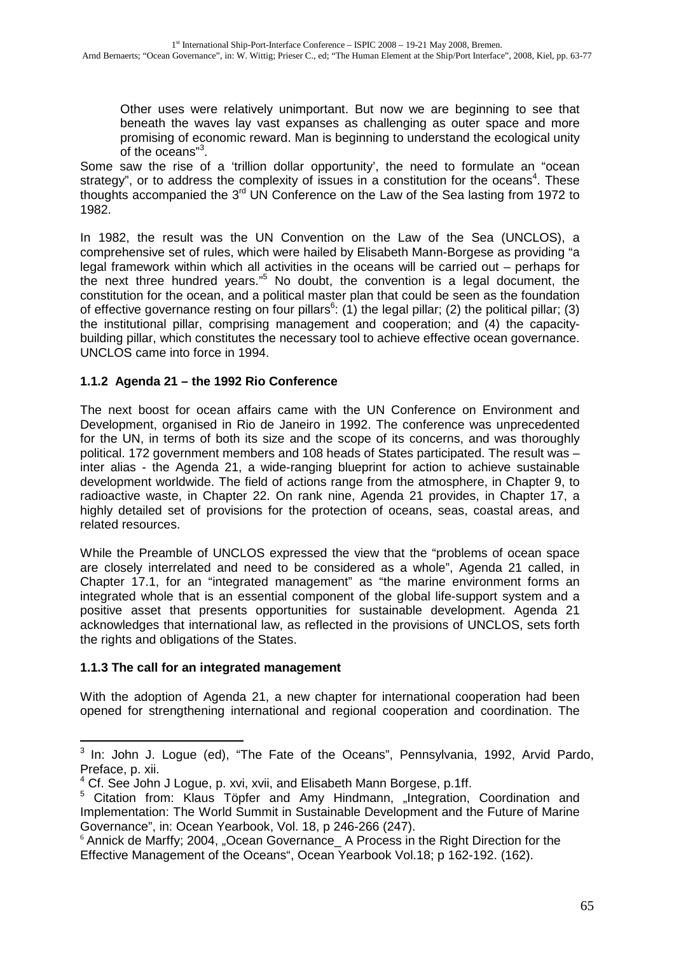Other uses were relatively unimportant. But now we are beginning to see that beneath the waves lay vast expanses as challenging as outer space and more promising of economic reward. Man is beginning to understand the ecological unity of the oceans"<sup>3</sup>.

Some saw the rise of a 'trillion dollar opportunity', the need to formulate an "ocean strategy", or to address the complexity of issues in a constitution for the oceans<sup>4</sup>. These thoughts accompanied the 3rd UN Conference on the Law of the Sea lasting from 1972 to 1982.

In 1982, the result was the UN Convention on the Law of the Sea (UNCLOS), a comprehensive set of rules, which were hailed by Elisabeth Mann-Borgese as providing "a legal framework within which all activities in the oceans will be carried out – perhaps for the next three hundred years."<sup>5</sup> No doubt, the convention is a legal document, the constitution for the ocean, and a political master plan that could be seen as the foundation of effective governance resting on four pillars<sup>6</sup>: (1) the legal pillar; (2) the political pillar; (3) the institutional pillar, comprising management and cooperation; and (4) the capacitybuilding pillar, which constitutes the necessary tool to achieve effective ocean governance. UNCLOS came into force in 1994.

# **1.1.2 Agenda 21 – the 1992 Rio Conference**

The next boost for ocean affairs came with the UN Conference on Environment and Development, organised in Rio de Janeiro in 1992. The conference was unprecedented for the UN, in terms of both its size and the scope of its concerns, and was thoroughly political. 172 government members and 108 heads of States participated. The result was – inter alias - the Agenda 21, a wide-ranging blueprint for action to achieve sustainable development worldwide. The field of actions range from the atmosphere, in Chapter 9, to radioactive waste, in Chapter 22. On rank nine, Agenda 21 provides, in Chapter 17, a highly detailed set of provisions for the protection of oceans, seas, coastal areas, and related resources.

While the Preamble of UNCLOS expressed the view that the "problems of ocean space are closely interrelated and need to be considered as a whole", Agenda 21 called, in Chapter 17.1, for an "integrated management" as "the marine environment forms an integrated whole that is an essential component of the global life-support system and a positive asset that presents opportunities for sustainable development. Agenda 21 acknowledges that international law, as reflected in the provisions of UNCLOS, sets forth the rights and obligations of the States.

### **1.1.3 The call for an integrated management**

 $\overline{a}$ 

With the adoption of Agenda 21, a new chapter for international cooperation had been opened for strengthening international and regional cooperation and coordination. The

<sup>&</sup>lt;sup>3</sup> In: John J. Logue (ed), "The Fate of the Oceans", Pennsylvania, 1992, Arvid Pardo, Preface, p. xii.

<sup>&</sup>lt;sup>4</sup> Cf. See John J Logue, p. xvi, xvii, and Elisabeth Mann Borgese, p.1ff.

<sup>&</sup>lt;sup>5</sup> Citation from: Klaus Töpfer and Amy Hindmann, "Integration, Coordination and Implementation: The World Summit in Sustainable Development and the Future of Marine Governance", in: Ocean Yearbook, Vol. 18, p 246-266 (247).

<sup>&</sup>lt;sup>6</sup> Annick de Marffy; 2004, "Ocean Governance\_ A Process in the Right Direction for the Effective Management of the Oceans", Ocean Yearbook Vol.18; p 162-192. (162).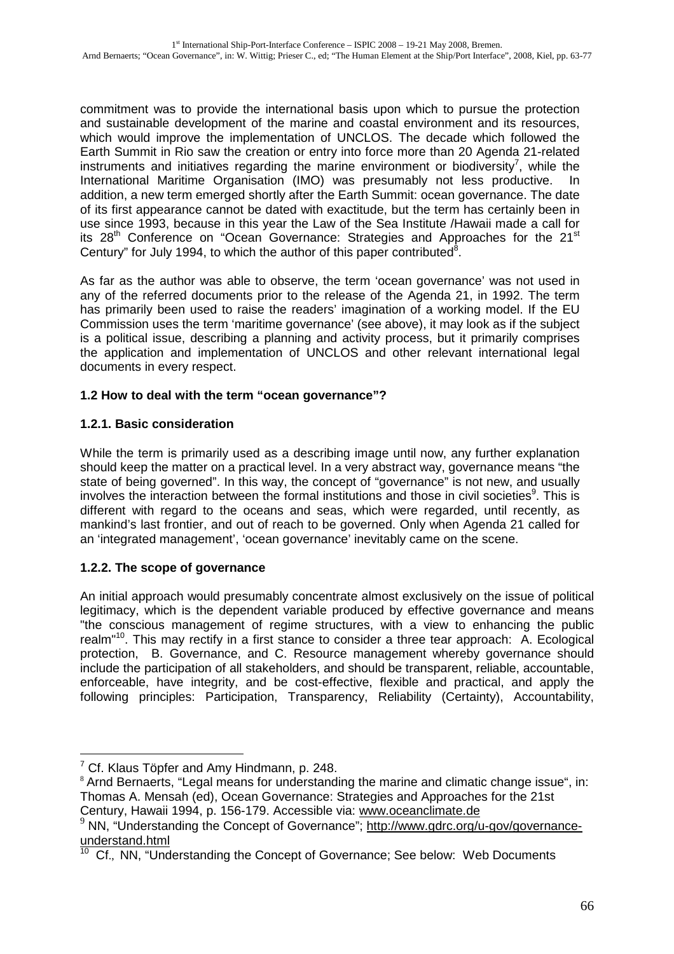commitment was to provide the international basis upon which to pursue the protection and sustainable development of the marine and coastal environment and its resources, which would improve the implementation of UNCLOS. The decade which followed the Earth Summit in Rio saw the creation or entry into force more than 20 Agenda 21-related instruments and initiatives regarding the marine environment or biodiversity<sup>7</sup>, while the International Maritime Organisation (IMO) was presumably not less productive. In addition, a new term emerged shortly after the Earth Summit: ocean governance. The date of its first appearance cannot be dated with exactitude, but the term has certainly been in use since 1993, because in this year the Law of the Sea Institute /Hawaii made a call for its 28<sup>th</sup> Conference on "Ocean Governance: Strategies and Approaches for the 21<sup>st</sup> Century" for July 1994, to which the author of this paper contributed<sup>8</sup>.

As far as the author was able to observe, the term 'ocean governance' was not used in any of the referred documents prior to the release of the Agenda 21, in 1992. The term has primarily been used to raise the readers' imagination of a working model. If the EU Commission uses the term 'maritime governance' (see above), it may look as if the subject is a political issue, describing a planning and activity process, but it primarily comprises the application and implementation of UNCLOS and other relevant international legal documents in every respect.

# **1.2 How to deal with the term "ocean governance"?**

# **1.2.1. Basic consideration**

While the term is primarily used as a describing image until now, any further explanation should keep the matter on a practical level. In a very abstract way, governance means "the state of being governed". In this way, the concept of "governance" is not new, and usually involves the interaction between the formal institutions and those in civil societies<sup>9</sup>. This is different with regard to the oceans and seas, which were regarded, until recently, as mankind's last frontier, and out of reach to be governed. Only when Agenda 21 called for an 'integrated management', 'ocean governance' inevitably came on the scene.

# **1.2.2. The scope of governance**

 $\overline{a}$ 

An initial approach would presumably concentrate almost exclusively on the issue of political legitimacy, which is the dependent variable produced by effective governance and means "the conscious management of regime structures, with a view to enhancing the public realm<sup>"10</sup>. This may rectify in a first stance to consider a three tear approach: A. Ecological protection, B. Governance, and C. Resource management whereby governance should include the participation of all stakeholders, and should be transparent, reliable, accountable, enforceable, have integrity, and be cost-effective, flexible and practical, and apply the following principles: Participation, Transparency, Reliability (Certainty), Accountability,

 $7$  Cf. Klaus Töpfer and Amy Hindmann, p. 248.

<sup>&</sup>lt;sup>8</sup> Arnd Bernaerts, "Legal means for understanding the marine and climatic change issue", in: Thomas A. Mensah (ed), Ocean Governance: Strategies and Approaches for the 21st Century, Hawaii 1994, p. 156-179. Accessible via: www.oceanclimate.de

 $9$  NN, "Understanding the Concept of Governance": http://www.gdrc.org/u-gov/governance- $\frac{$ understand.html</u>

<sup>10</sup> Cf., NN, "Understanding the Concept of Governance; See below: Web Documents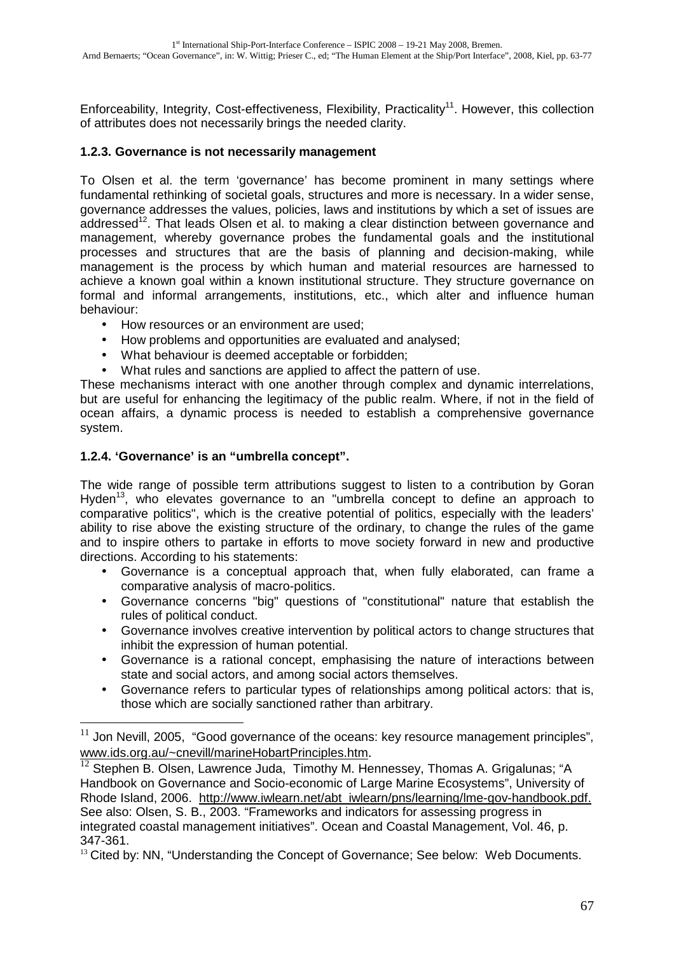Enforceability, Integrity, Cost-effectiveness, Flexibility, Practicality<sup>11</sup>, However, this collection of attributes does not necessarily brings the needed clarity.

### **1.2.3. Governance is not necessarily management**

To Olsen et al. the term 'governance' has become prominent in many settings where fundamental rethinking of societal goals, structures and more is necessary. In a wider sense, governance addresses the values, policies, laws and institutions by which a set of issues are addressed<sup>12</sup>. That leads Olsen et al. to making a clear distinction between governance and management, whereby governance probes the fundamental goals and the institutional processes and structures that are the basis of planning and decision-making, while management is the process by which human and material resources are harnessed to achieve a known goal within a known institutional structure. They structure governance on formal and informal arrangements, institutions, etc., which alter and influence human behaviour:

- How resources or an environment are used;
- How problems and opportunities are evaluated and analysed;
- What behaviour is deemed acceptable or forbidden;
- What rules and sanctions are applied to affect the pattern of use.

These mechanisms interact with one another through complex and dynamic interrelations, but are useful for enhancing the legitimacy of the public realm. Where, if not in the field of ocean affairs, a dynamic process is needed to establish a comprehensive governance system.

### **1.2.4. 'Governance' is an "umbrella concept".**

 $\overline{a}$ 

The wide range of possible term attributions suggest to listen to a contribution by Goran Hyden<sup>13</sup>, who elevates governance to an "umbrella concept to define an approach to comparative politics", which is the creative potential of politics, especially with the leaders' ability to rise above the existing structure of the ordinary, to change the rules of the game and to inspire others to partake in efforts to move society forward in new and productive directions. According to his statements:

- Governance is a conceptual approach that, when fully elaborated, can frame a comparative analysis of macro-politics.
- Governance concerns "big" questions of "constitutional" nature that establish the rules of political conduct.
- Governance involves creative intervention by political actors to change structures that inhibit the expression of human potential.
- Governance is a rational concept, emphasising the nature of interactions between state and social actors, and among social actors themselves.
- Governance refers to particular types of relationships among political actors: that is, those which are socially sanctioned rather than arbitrary.

 $11$  Jon Nevill, 2005, "Good governance of the oceans: key resource management principles", www.ids.org.au/~cnevill/marineHobartPrinciples.htm.

<sup>&</sup>lt;sup>12</sup> Stephen B. Olsen, Lawrence Juda, Timothy M. Hennessey, Thomas A. Grigalunas; "A Handbook on Governance and Socio-economic of Large Marine Ecosystems", University of Rhode Island, 2006. http://www.iwlearn.net/abt\_iwlearn/pns/learning/lme-gov-handbook.pdf. See also: Olsen, S. B., 2003. "Frameworks and indicators for assessing progress in integrated coastal management initiatives". Ocean and Coastal Management, Vol. 46, p. 347-361.

<sup>&</sup>lt;sup>13</sup> Cited by: NN, "Understanding the Concept of Governance; See below: Web Documents.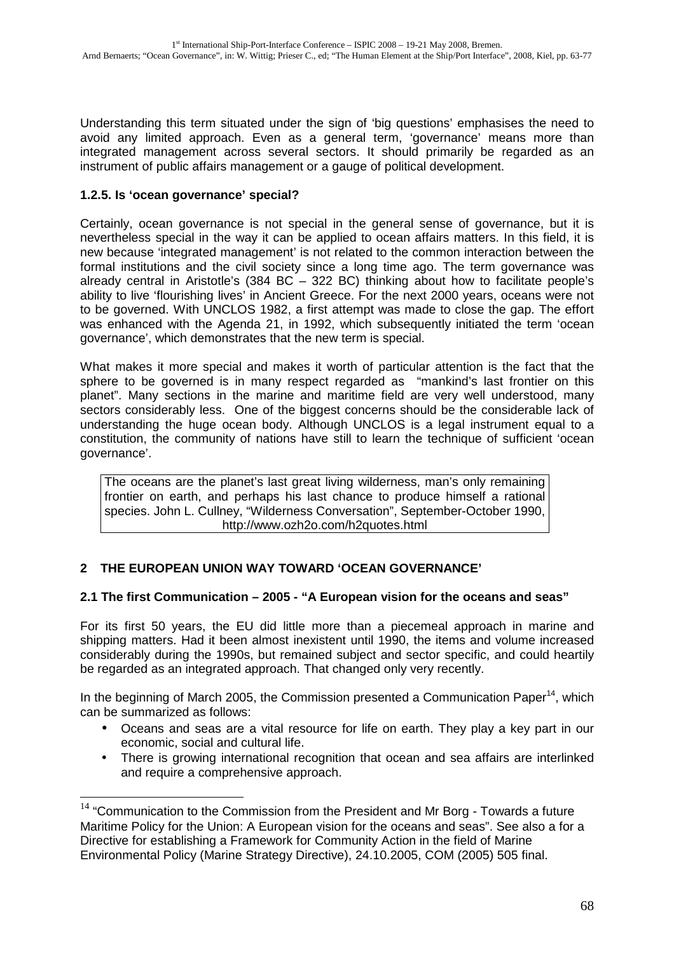Understanding this term situated under the sign of 'big questions' emphasises the need to avoid any limited approach. Even as a general term, 'governance' means more than integrated management across several sectors. It should primarily be regarded as an instrument of public affairs management or a gauge of political development.

### **1.2.5. Is 'ocean governance' special?**

 $\overline{a}$ 

Certainly, ocean governance is not special in the general sense of governance, but it is nevertheless special in the way it can be applied to ocean affairs matters. In this field, it is new because 'integrated management' is not related to the common interaction between the formal institutions and the civil society since a long time ago. The term governance was already central in Aristotle's (384 BC – 322 BC) thinking about how to facilitate people's ability to live 'flourishing lives' in Ancient Greece. For the next 2000 years, oceans were not to be governed. With UNCLOS 1982, a first attempt was made to close the gap. The effort was enhanced with the Agenda 21, in 1992, which subsequently initiated the term 'ocean governance', which demonstrates that the new term is special.

What makes it more special and makes it worth of particular attention is the fact that the sphere to be governed is in many respect regarded as "mankind's last frontier on this planet". Many sections in the marine and maritime field are very well understood, many sectors considerably less. One of the biggest concerns should be the considerable lack of understanding the huge ocean body. Although UNCLOS is a legal instrument equal to a constitution, the community of nations have still to learn the technique of sufficient 'ocean governance'.

The oceans are the planet's last great living wilderness, man's only remaining frontier on earth, and perhaps his last chance to produce himself a rational species. John L. Cullney, "Wilderness Conversation", September-October 1990, http://www.ozh2o.com/h2quotes.html

# **2 THE EUROPEAN UNION WAY TOWARD 'OCEAN GOVERNANCE'**

# **2.1 The first Communication – 2005 - "A European vision for the oceans and seas"**

For its first 50 years, the EU did little more than a piecemeal approach in marine and shipping matters. Had it been almost inexistent until 1990, the items and volume increased considerably during the 1990s, but remained subject and sector specific, and could heartily be regarded as an integrated approach. That changed only very recently.

In the beginning of March 2005, the Commission presented a Communication Paper<sup>14</sup>, which can be summarized as follows:

- Oceans and seas are a vital resource for life on earth. They play a key part in our economic, social and cultural life.
- There is growing international recognition that ocean and sea affairs are interlinked and require a comprehensive approach.

 $14$  "Communication to the Commission from the President and Mr Borg - Towards a future Maritime Policy for the Union: A European vision for the oceans and seas". See also a for a Directive for establishing a Framework for Community Action in the field of Marine Environmental Policy (Marine Strategy Directive), 24.10.2005, COM (2005) 505 final.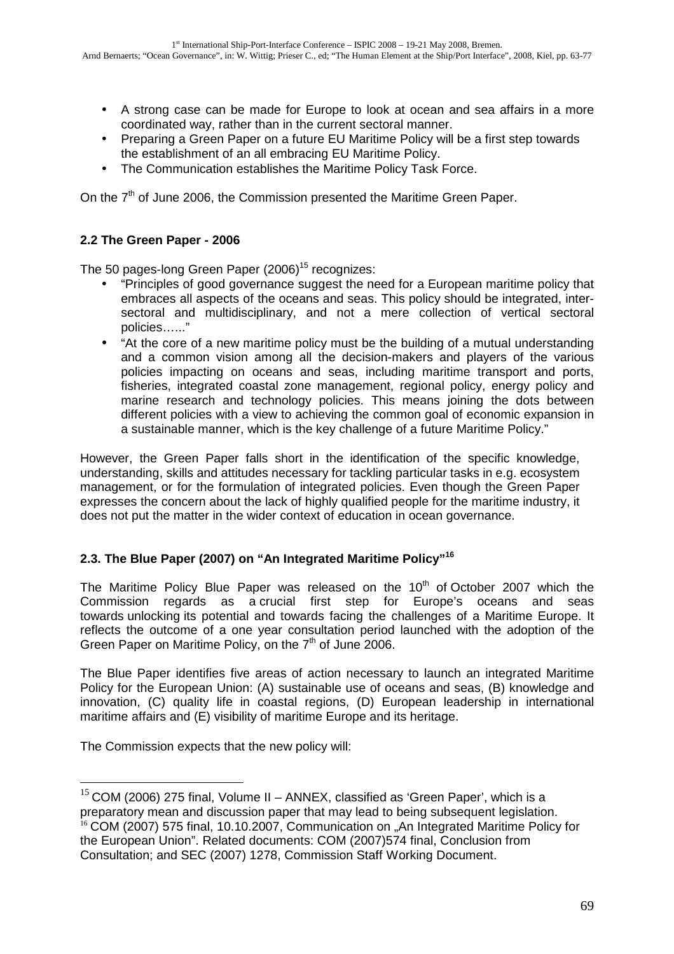- A strong case can be made for Europe to look at ocean and sea affairs in a more coordinated way, rather than in the current sectoral manner.
- Preparing a Green Paper on a future EU Maritime Policy will be a first step towards the establishment of an all embracing EU Maritime Policy.
- The Communication establishes the Maritime Policy Task Force.

On the  $7<sup>th</sup>$  of June 2006, the Commission presented the Maritime Green Paper.

# **2.2 The Green Paper - 2006**

The 50 pages-long Green Paper  $(2006)^{15}$  recognizes:

- "Principles of good governance suggest the need for a European maritime policy that embraces all aspects of the oceans and seas. This policy should be integrated, intersectoral and multidisciplinary, and not a mere collection of vertical sectoral policies…..."
- "At the core of a new maritime policy must be the building of a mutual understanding and a common vision among all the decision-makers and players of the various policies impacting on oceans and seas, including maritime transport and ports, fisheries, integrated coastal zone management, regional policy, energy policy and marine research and technology policies. This means joining the dots between different policies with a view to achieving the common goal of economic expansion in a sustainable manner, which is the key challenge of a future Maritime Policy."

However, the Green Paper falls short in the identification of the specific knowledge, understanding, skills and attitudes necessary for tackling particular tasks in e.g. ecosystem management, or for the formulation of integrated policies. Even though the Green Paper expresses the concern about the lack of highly qualified people for the maritime industry, it does not put the matter in the wider context of education in ocean governance.

### **2.3. The Blue Paper (2007) on "An Integrated Maritime Policy"<sup>16</sup>**

The Maritime Policy Blue Paper was released on the  $10<sup>th</sup>$  of October 2007 which the Commission regards as a crucial first step for Europe's oceans and seas towards unlocking its potential and towards facing the challenges of a Maritime Europe. It reflects the outcome of a one year consultation period launched with the adoption of the Green Paper on Maritime Policy, on the  $7<sup>th</sup>$  of June 2006.

The Blue Paper identifies five areas of action necessary to launch an integrated Maritime Policy for the European Union: (A) sustainable use of oceans and seas, (B) knowledge and innovation, (C) quality life in coastal regions, (D) European leadership in international maritime affairs and (E) visibility of maritime Europe and its heritage.

The Commission expects that the new policy will:

 $\overline{a}$ 

 $15$  COM (2006) 275 final, Volume II – ANNEX, classified as 'Green Paper', which is a preparatory mean and discussion paper that may lead to being subsequent legislation. <sup>16</sup> COM (2007) 575 final, 10.10.2007, Communication on "An Integrated Maritime Policy for the European Union". Related documents: COM (2007)574 final, Conclusion from Consultation; and SEC (2007) 1278, Commission Staff Working Document.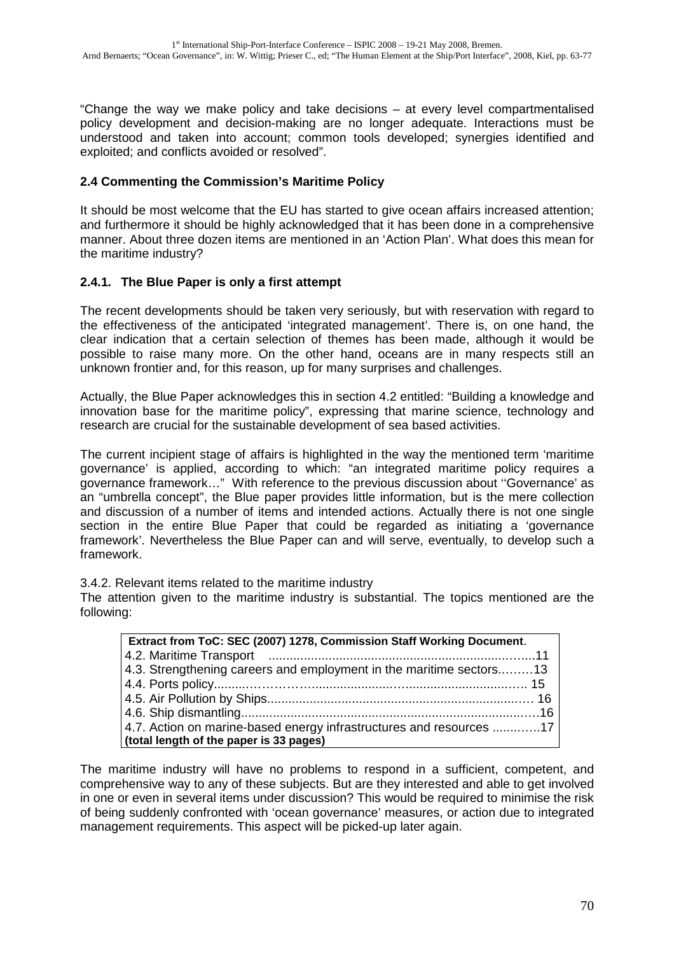"Change the way we make policy and take decisions – at every level compartmentalised policy development and decision-making are no longer adequate. Interactions must be understood and taken into account; common tools developed; synergies identified and exploited; and conflicts avoided or resolved".

### **2.4 Commenting the Commission's Maritime Policy**

It should be most welcome that the EU has started to give ocean affairs increased attention; and furthermore it should be highly acknowledged that it has been done in a comprehensive manner. About three dozen items are mentioned in an 'Action Plan'. What does this mean for the maritime industry?

### **2.4.1. The Blue Paper is only a first attempt**

The recent developments should be taken very seriously, but with reservation with regard to the effectiveness of the anticipated 'integrated management'. There is, on one hand, the clear indication that a certain selection of themes has been made, although it would be possible to raise many more. On the other hand, oceans are in many respects still an unknown frontier and, for this reason, up for many surprises and challenges.

Actually, the Blue Paper acknowledges this in section 4.2 entitled: "Building a knowledge and innovation base for the maritime policy", expressing that marine science, technology and research are crucial for the sustainable development of sea based activities.

The current incipient stage of affairs is highlighted in the way the mentioned term 'maritime governance' is applied, according to which: "an integrated maritime policy requires a governance framework…" With reference to the previous discussion about ''Governance' as an "umbrella concept", the Blue paper provides little information, but is the mere collection and discussion of a number of items and intended actions. Actually there is not one single section in the entire Blue Paper that could be regarded as initiating a 'governance framework'. Nevertheless the Blue Paper can and will serve, eventually, to develop such a framework.

3.4.2. Relevant items related to the maritime industry

The attention given to the maritime industry is substantial. The topics mentioned are the following:

| Extract from ToC: SEC (2007) 1278, Commission Staff Working Document. |  |  |
|-----------------------------------------------------------------------|--|--|
|                                                                       |  |  |
| 4.3. Strengthening careers and employment in the maritime sectors13   |  |  |
|                                                                       |  |  |
|                                                                       |  |  |
|                                                                       |  |  |
| 4.7. Action on marine-based energy infrastructures and resources 17   |  |  |
| (total length of the paper is 33 pages)                               |  |  |

The maritime industry will have no problems to respond in a sufficient, competent, and comprehensive way to any of these subjects. But are they interested and able to get involved in one or even in several items under discussion? This would be required to minimise the risk of being suddenly confronted with 'ocean governance' measures, or action due to integrated management requirements. This aspect will be picked-up later again.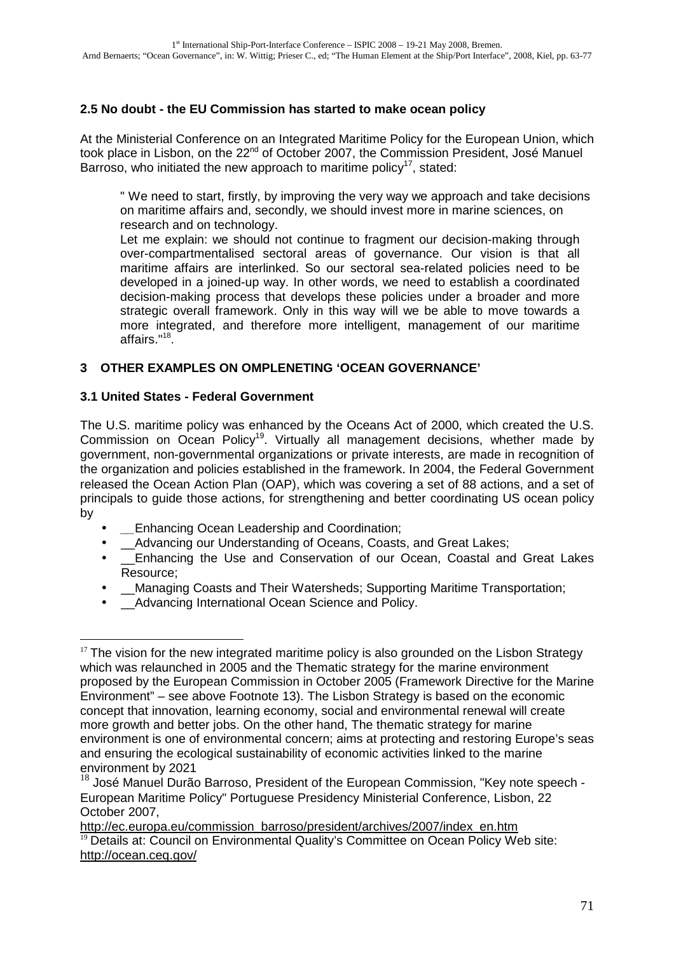# **2.5 No doubt - the EU Commission has started to make ocean policy**

At the Ministerial Conference on an Integrated Maritime Policy for the European Union, which took place in Lisbon, on the 22<sup>nd</sup> of October 2007, the Commission President, José Manuel Barroso, who initiated the new approach to maritime policy<sup>17</sup>, stated:

" We need to start, firstly, by improving the very way we approach and take decisions on maritime affairs and, secondly, we should invest more in marine sciences, on research and on technology.

Let me explain: we should not continue to fragment our decision-making through over-compartmentalised sectoral areas of governance. Our vision is that all maritime affairs are interlinked. So our sectoral sea-related policies need to be developed in a joined-up way. In other words, we need to establish a coordinated decision-making process that develops these policies under a broader and more strategic overall framework. Only in this way will we be able to move towards a more integrated, and therefore more intelligent, management of our maritime affairs."<sup>18</sup>.

# **3 OTHER EXAMPLES ON OMPLENETING 'OCEAN GOVERNANCE'**

### **3.1 United States - Federal Government**

The U.S. maritime policy was enhanced by the Oceans Act of 2000, which created the U.S. Commission on Ocean Policy<sup>19</sup>. Virtually all management decisions, whether made by government, non-governmental organizations or private interests, are made in recognition of the organization and policies established in the framework. In 2004, the Federal Government released the Ocean Action Plan (OAP), which was covering a set of 88 actions, and a set of principals to guide those actions, for strengthening and better coordinating US ocean policy by

- **Enhancing Ocean Leadership and Coordination;**
- *\_\_Advancing our Understanding of Oceans, Coasts, and Great Lakes;*
- Enhancing the Use and Conservation of our Ocean, Coastal and Great Lakes Resource;
- **Managing Coasts and Their Watersheds; Supporting Maritime Transportation;**
- Advancing International Ocean Science and Policy.

http://ec.europa.eu/commission\_barroso/president/archives/2007/index\_en.htm  $19$  Details at: Council on Environmental Quality's Committee on Ocean Policy Web site: http://ocean.ceq.gov/

 $\overline{a}$  $17$  The vision for the new integrated maritime policy is also grounded on the Lisbon Strategy which was relaunched in 2005 and the Thematic strategy for the marine environment proposed by the European Commission in October 2005 (Framework Directive for the Marine Environment" – see above Footnote 13). The Lisbon Strategy is based on the economic concept that innovation, learning economy, social and environmental renewal will create more growth and better jobs. On the other hand, The thematic strategy for marine environment is one of environmental concern; aims at protecting and restoring Europe's seas and ensuring the ecological sustainability of economic activities linked to the marine environment by 2021

<sup>&</sup>lt;sup>18</sup> José Manuel Durão Barroso, President of the European Commission, "Key note speech -European Maritime Policy" Portuguese Presidency Ministerial Conference, Lisbon, 22 October 2007,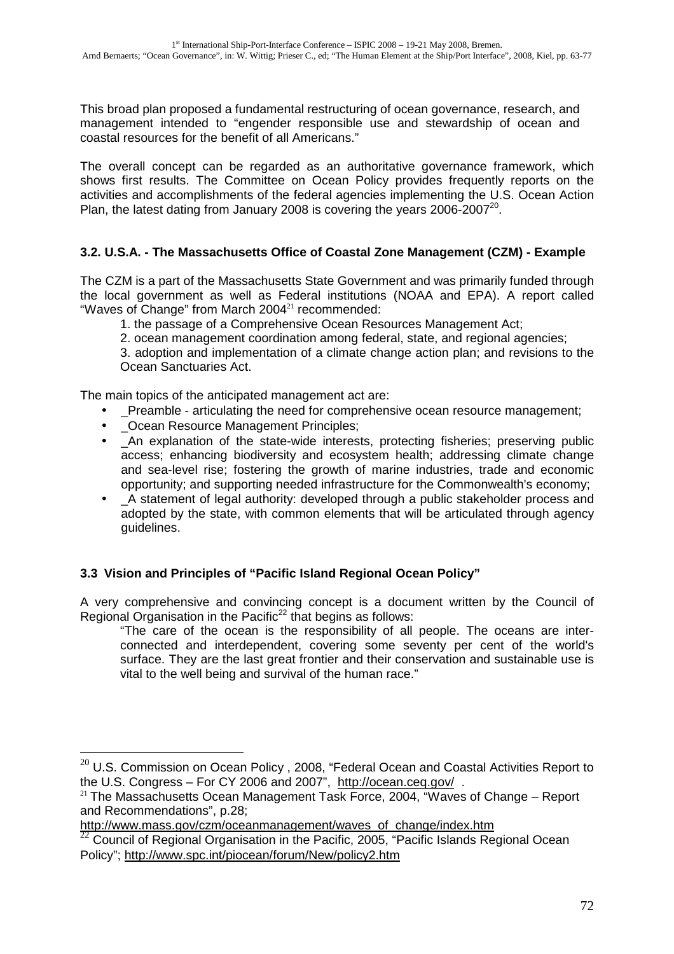This broad plan proposed a fundamental restructuring of ocean governance, research, and management intended to "engender responsible use and stewardship of ocean and coastal resources for the benefit of all Americans."

The overall concept can be regarded as an authoritative governance framework, which shows first results. The Committee on Ocean Policy provides frequently reports on the activities and accomplishments of the federal agencies implementing the U.S. Ocean Action Plan, the latest dating from January 2008 is covering the years 2006-2007 $^{20}$ .

# **3.2. U.S.A. - The Massachusetts Office of Coastal Zone Management (CZM) - Example**

The CZM is a part of the Massachusetts State Government and was primarily funded through the local government as well as Federal institutions (NOAA and EPA). A report called "Waves of Change" from March 2004<sup>21</sup> recommended:

1. the passage of a Comprehensive Ocean Resources Management Act;

2. ocean management coordination among federal, state, and regional agencies;

3. adoption and implementation of a climate change action plan; and revisions to the Ocean Sanctuaries Act.

The main topics of the anticipated management act are:

- \_Preamble articulating the need for comprehensive ocean resource management;
- \_Ocean Resource Management Principles;

 $\overline{a}$ 

- An explanation of the state-wide interests, protecting fisheries; preserving public access; enhancing biodiversity and ecosystem health; addressing climate change and sea-level rise; fostering the growth of marine industries, trade and economic opportunity; and supporting needed infrastructure for the Commonwealth's economy;
- A statement of legal authority: developed through a public stakeholder process and adopted by the state, with common elements that will be articulated through agency guidelines.

# **3.3 Vision and Principles of "Pacific Island Regional Ocean Policy"**

A very comprehensive and convincing concept is a document written by the Council of Regional Organisation in the Pacific<sup>22</sup> that begins as follows:

"The care of the ocean is the responsibility of all people. The oceans are interconnected and interdependent, covering some seventy per cent of the world's surface. They are the last great frontier and their conservation and sustainable use is vital to the well being and survival of the human race."

 $^{20}$  U.S. Commission on Ocean Policy , 2008, "Federal Ocean and Coastal Activities Report to the U.S. Congress – For CY 2006 and 2007", http://ocean.ceq.gov/ .

 $21$  The Massachusetts Ocean Management Task Force, 2004, "Waves of Change – Report and Recommendations", p.28;

http://www.mass.gov/czm/oceanmanagement/waves\_of\_change/index.htm

 $22$  Council of Regional Organisation in the Pacific, 2005, "Pacific Islands Regional Ocean Policy"; http://www.spc.int/piocean/forum/New/policy2.htm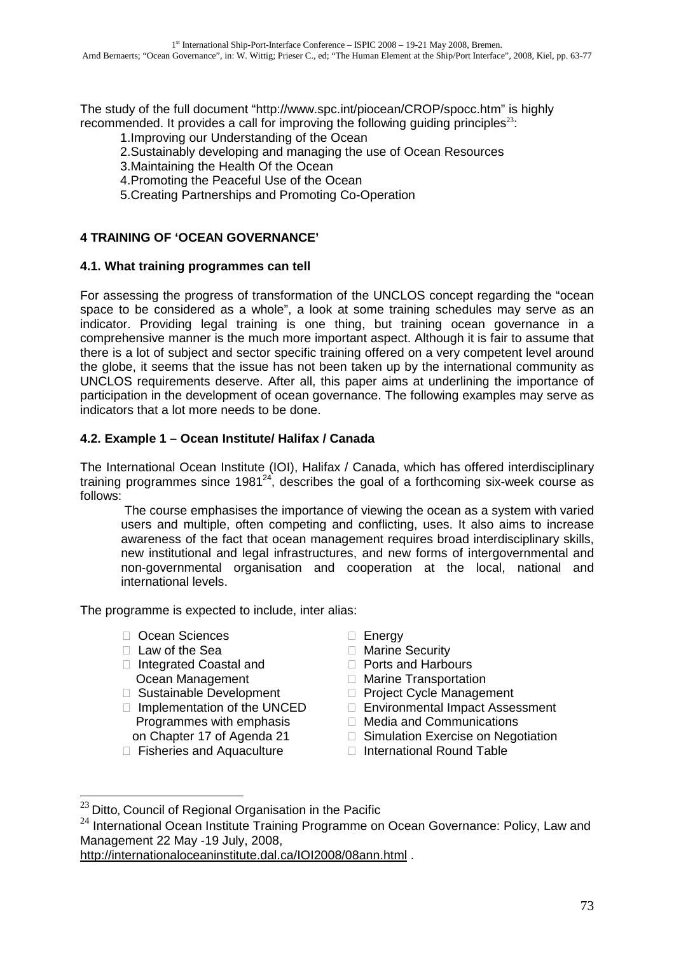The study of the full document "http://www.spc.int/piocean/CROP/spocc.htm" is highly recommended. It provides a call for improving the following quiding principles<sup>23</sup>:

1.Improving our Understanding of the Ocean

- 2.Sustainably developing and managing the use of Ocean Resources
- 3.Maintaining the Health Of the Ocean

4.Promoting the Peaceful Use of the Ocean

5.Creating Partnerships and Promoting Co-Operation

### **4 TRAINING OF 'OCEAN GOVERNANCE'**

#### **4.1. What training programmes can tell**

For assessing the progress of transformation of the UNCLOS concept regarding the "ocean space to be considered as a whole", a look at some training schedules may serve as an indicator. Providing legal training is one thing, but training ocean governance in a comprehensive manner is the much more important aspect. Although it is fair to assume that there is a lot of subject and sector specific training offered on a very competent level around the globe, it seems that the issue has not been taken up by the international community as UNCLOS requirements deserve. After all, this paper aims at underlining the importance of participation in the development of ocean governance. The following examples may serve as indicators that a lot more needs to be done.

### **4.2. Example 1 – Ocean Institute/ Halifax / Canada**

The International Ocean Institute (IOI), Halifax / Canada, which has offered interdisciplinary training programmes since  $1981^{24}$ , describes the goal of a forthcoming six-week course as follows:

 The course emphasises the importance of viewing the ocean as a system with varied users and multiple, often competing and conflicting, uses. It also aims to increase awareness of the fact that ocean management requires broad interdisciplinary skills, new institutional and legal infrastructures, and new forms of intergovernmental and non-governmental organisation and cooperation at the local, national and international levels.

The programme is expected to include, inter alias:

 Ocean Sciences Law of the Sea Integrated Coastal and Ocean Management Sustainable Development Implementation of the UNCED Programmes with emphasis on Chapter 17 of Agenda 21 Fisheries and Aquaculture

 Energy Marine Security Ports and Harbours Marine Transportation Project Cycle Management Environmental Impact Assessment Media and Communications Simulation Exercise on Negotiation International Round Table

 $\overline{a}$ 

 $^{23}$  Ditto, Council of Regional Organisation in the Pacific

 $24$  International Ocean Institute Training Programme on Ocean Governance: Policy, Law and Management 22 May -19 July, 2008,

http://internationaloceaninstitute.dal.ca/IOI2008/08ann.html .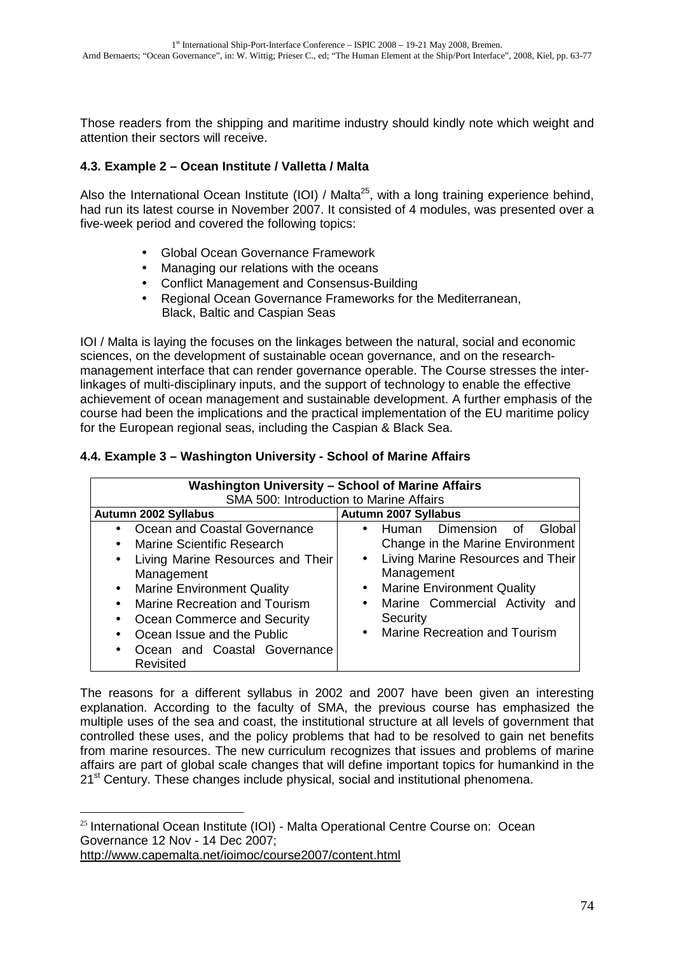Those readers from the shipping and maritime industry should kindly note which weight and attention their sectors will receive.

# **4.3. Example 2 – Ocean Institute / Valletta / Malta**

Also the International Ocean Institute (IOI) / Malta<sup>25</sup>, with a long training experience behind, had run its latest course in November 2007. It consisted of 4 modules, was presented over a five-week period and covered the following topics:

- Global Ocean Governance Framework
- Managing our relations with the oceans
- Conflict Management and Consensus-Building
- Regional Ocean Governance Frameworks for the Mediterranean, Black, Baltic and Caspian Seas

IOI / Malta is laying the focuses on the linkages between the natural, social and economic sciences, on the development of sustainable ocean governance, and on the researchmanagement interface that can render governance operable. The Course stresses the interlinkages of multi-disciplinary inputs, and the support of technology to enable the effective achievement of ocean management and sustainable development. A further emphasis of the course had been the implications and the practical implementation of the EU maritime policy for the European regional seas, including the Caspian & Black Sea.

# **4.4. Example 3 – Washington University - School of Marine Affairs**

| <b>Washington University - School of Marine Affairs</b> |                                                |  |
|---------------------------------------------------------|------------------------------------------------|--|
| SMA 500: Introduction to Marine Affairs                 |                                                |  |
| Autumn 2002 Syllabus                                    | Autumn 2007 Syllabus                           |  |
| Ocean and Coastal Governance                            | • Human Dimension of<br>Global                 |  |
| Marine Scientific Research                              | Change in the Marine Environment               |  |
| Living Marine Resources and Their<br>$\bullet$          | Living Marine Resources and Their<br>$\bullet$ |  |
| Management                                              | Management                                     |  |
| • Marine Environment Quality                            | <b>Marine Environment Quality</b><br>$\bullet$ |  |
| Marine Recreation and Tourism                           | Marine Commercial Activity and<br>$\bullet$    |  |
| Ocean Commerce and Security<br>$\bullet$                | Security                                       |  |
| Ocean Issue and the Public                              | • Marine Recreation and Tourism                |  |
| Ocean and Coastal Governance                            |                                                |  |
| Revisited                                               |                                                |  |

The reasons for a different syllabus in 2002 and 2007 have been given an interesting explanation. According to the faculty of SMA, the previous course has emphasized the multiple uses of the sea and coast, the institutional structure at all levels of government that controlled these uses, and the policy problems that had to be resolved to gain net benefits from marine resources. The new curriculum recognizes that issues and problems of marine affairs are part of global scale changes that will define important topics for humankind in the 21<sup>st</sup> Century. These changes include physical, social and institutional phenomena.

 $\overline{a}$ 

 $25$  International Ocean Institute (IOI) - Malta Operational Centre Course on: Ocean Governance 12 Nov - 14 Dec 2007;

http://www.capemalta.net/ioimoc/course2007/content.html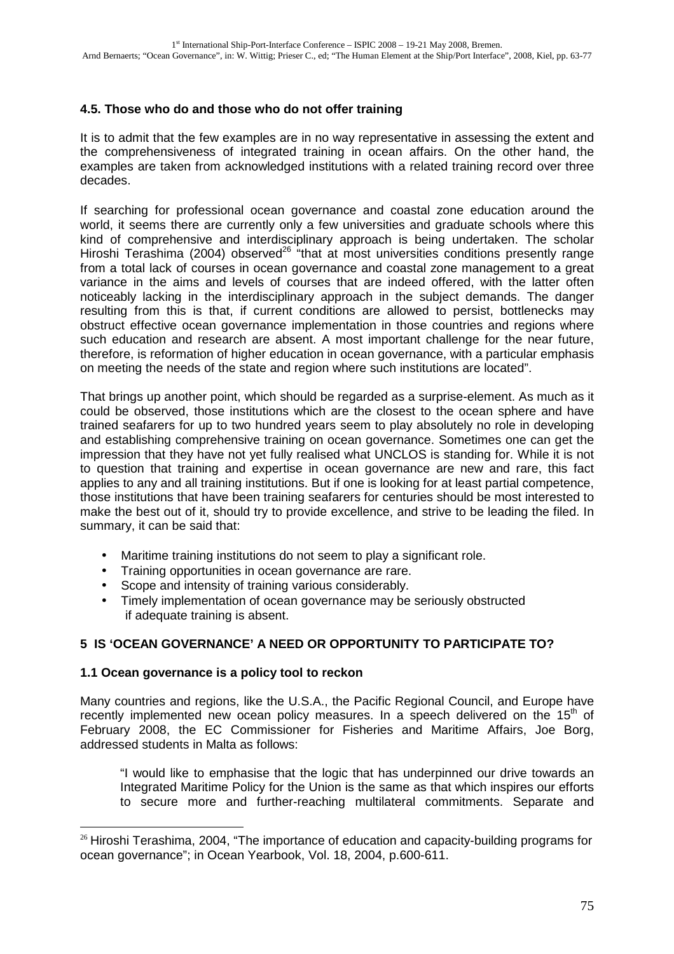# **4.5. Those who do and those who do not offer training**

It is to admit that the few examples are in no way representative in assessing the extent and the comprehensiveness of integrated training in ocean affairs. On the other hand, the examples are taken from acknowledged institutions with a related training record over three decades.

If searching for professional ocean governance and coastal zone education around the world, it seems there are currently only a few universities and graduate schools where this kind of comprehensive and interdisciplinary approach is being undertaken. The scholar Hiroshi Terashima (2004) observed<sup>26</sup> "that at most universities conditions presently range from a total lack of courses in ocean governance and coastal zone management to a great variance in the aims and levels of courses that are indeed offered, with the latter often noticeably lacking in the interdisciplinary approach in the subject demands. The danger resulting from this is that, if current conditions are allowed to persist, bottlenecks may obstruct effective ocean governance implementation in those countries and regions where such education and research are absent. A most important challenge for the near future, therefore, is reformation of higher education in ocean governance, with a particular emphasis on meeting the needs of the state and region where such institutions are located".

That brings up another point, which should be regarded as a surprise-element. As much as it could be observed, those institutions which are the closest to the ocean sphere and have trained seafarers for up to two hundred years seem to play absolutely no role in developing and establishing comprehensive training on ocean governance. Sometimes one can get the impression that they have not yet fully realised what UNCLOS is standing for. While it is not to question that training and expertise in ocean governance are new and rare, this fact applies to any and all training institutions. But if one is looking for at least partial competence, those institutions that have been training seafarers for centuries should be most interested to make the best out of it, should try to provide excellence, and strive to be leading the filed. In summary, it can be said that:

- Maritime training institutions do not seem to play a significant role.
- Training opportunities in ocean governance are rare.
- Scope and intensity of training various considerably.
- Timely implementation of ocean governance may be seriously obstructed if adequate training is absent.

# **5 IS 'OCEAN GOVERNANCE' A NEED OR OPPORTUNITY TO PARTICIPATE TO?**

### **1.1 Ocean governance is a policy tool to reckon**

 $\overline{a}$ 

Many countries and regions, like the U.S.A., the Pacific Regional Council, and Europe have recently implemented new ocean policy measures. In a speech delivered on the  $15<sup>th</sup>$  of February 2008, the EC Commissioner for Fisheries and Maritime Affairs, Joe Borg, addressed students in Malta as follows:

"I would like to emphasise that the logic that has underpinned our drive towards an Integrated Maritime Policy for the Union is the same as that which inspires our efforts to secure more and further-reaching multilateral commitments. Separate and

 $26$  Hiroshi Terashima, 2004, "The importance of education and capacity-building programs for ocean governance"; in Ocean Yearbook, Vol. 18, 2004, p.600-611.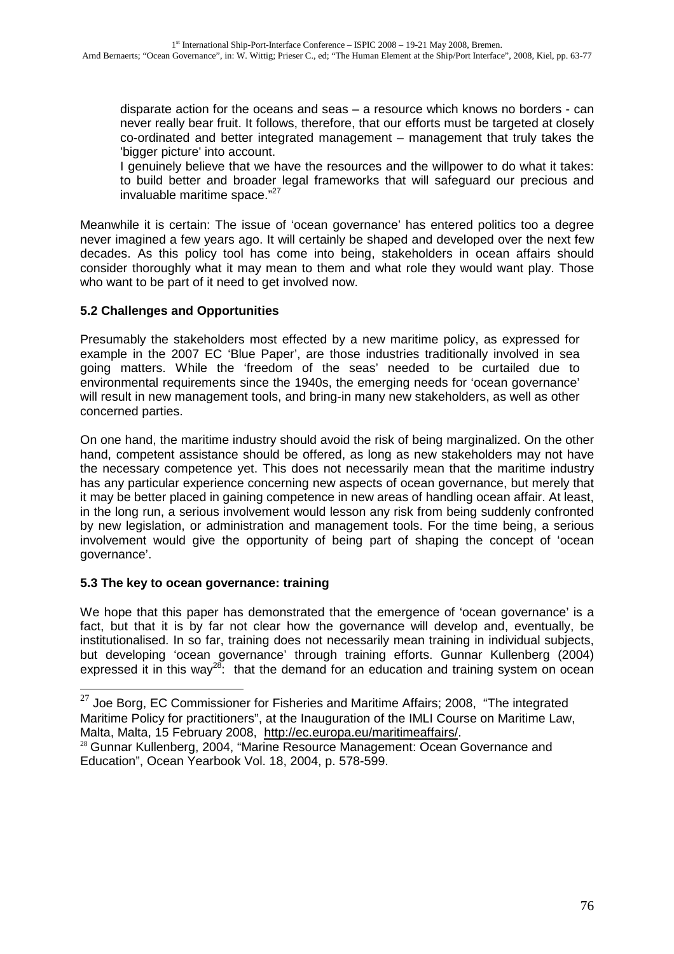disparate action for the oceans and seas – a resource which knows no borders - can never really bear fruit. It follows, therefore, that our efforts must be targeted at closely co-ordinated and better integrated management – management that truly takes the 'bigger picture' into account.

I genuinely believe that we have the resources and the willpower to do what it takes: to build better and broader legal frameworks that will safeguard our precious and invaluable maritime space."<sup>27</sup>

Meanwhile it is certain: The issue of 'ocean governance' has entered politics too a degree never imagined a few years ago. It will certainly be shaped and developed over the next few decades. As this policy tool has come into being, stakeholders in ocean affairs should consider thoroughly what it may mean to them and what role they would want play. Those who want to be part of it need to get involved now.

# **5.2 Challenges and Opportunities**

Presumably the stakeholders most effected by a new maritime policy, as expressed for example in the 2007 EC 'Blue Paper', are those industries traditionally involved in sea going matters. While the 'freedom of the seas' needed to be curtailed due to environmental requirements since the 1940s, the emerging needs for 'ocean governance' will result in new management tools, and bring-in many new stakeholders, as well as other concerned parties.

On one hand, the maritime industry should avoid the risk of being marginalized. On the other hand, competent assistance should be offered, as long as new stakeholders may not have the necessary competence yet. This does not necessarily mean that the maritime industry has any particular experience concerning new aspects of ocean governance, but merely that it may be better placed in gaining competence in new areas of handling ocean affair. At least, in the long run, a serious involvement would lesson any risk from being suddenly confronted by new legislation, or administration and management tools. For the time being, a serious involvement would give the opportunity of being part of shaping the concept of 'ocean governance'.

# **5.3 The key to ocean governance: training**

 $\overline{a}$ 

We hope that this paper has demonstrated that the emergence of 'ocean governance' is a fact, but that it is by far not clear how the governance will develop and, eventually, be institutionalised. In so far, training does not necessarily mean training in individual subjects, but developing 'ocean governance' through training efforts. Gunnar Kullenberg (2004) expressed it in this way<sup>28</sup>: that the demand for an education and training system on ocean

 $27$  Joe Borg, EC Commissioner for Fisheries and Maritime Affairs; 2008, "The integrated Maritime Policy for practitioners", at the Inauguration of the IMLI Course on Maritime Law, Malta, Malta, 15 February 2008, http://ec.europa.eu/maritimeaffairs/.

<sup>&</sup>lt;sup>28</sup> Gunnar Kullenberg, 2004, "Marine Resource Management: Ocean Governance and Education", Ocean Yearbook Vol. 18, 2004, p. 578-599.